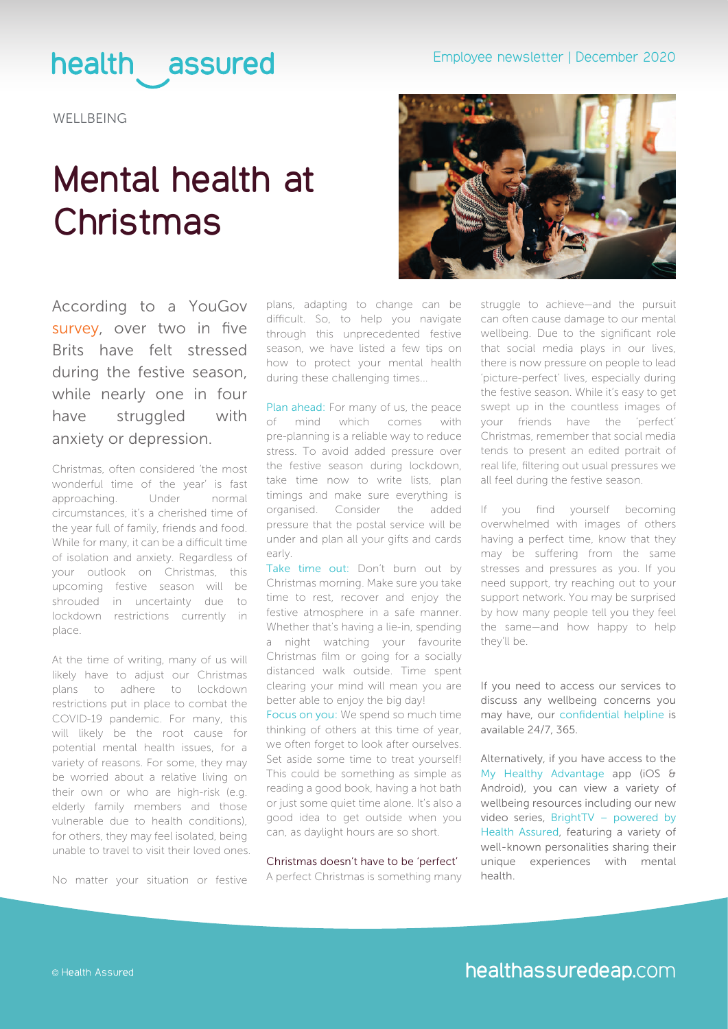## health assured

**WELLBEING** 

# **Mental health at Christmas**

According to a YouGov [survey,](https://yougov.co.uk/topics/health/articles-reports/2019/12/18/christmas-harms-mental-health-quarter-brits) over two in five Brits have felt stressed during the festive season, while nearly one in four have struggled with anxiety or depression.

Christmas, often considered 'the most wonderful time of the year' is fast approaching. Under normal circumstances, it's a cherished time of the year full of family, friends and food. While for many, it can be a difficult time of isolation and anxiety. Regardless of your outlook on Christmas, this upcoming festive season will be shrouded in uncertainty due to lockdown restrictions currently in place.

At the time of writing, many of us will likely have to adjust our Christmas plans to adhere to lockdown restrictions put in place to combat the COVID-19 pandemic. For many, this will likely be the root cause for potential mental health issues, for a variety of reasons. For some, they may be worried about a relative living on their own or who are high-risk (e.g. elderly family members and those vulnerable due to health conditions), for others, they may feel isolated, being unable to travel to visit their loved ones.

No matter your situation or festive

plans, adapting to change can be difficult. So, to help you navigate through this unprecedented festive season, we have listed a few tips on how to protect your mental health during these challenging times...

Plan ahead: For many of us, the peace of mind which comes with pre-planning is a reliable way to reduce stress. To avoid added pressure over the festive season during lockdown, take time now to write lists, plan timings and make sure everything is organised. Consider the added pressure that the postal service will be under and plan all your gifts and cards early.

Take time out: Don't burn out by Christmas morning. Make sure you take time to rest, recover and enjoy the festive atmosphere in a safe manner. Whether that's having a lie-in, spending a night watching your favourite Christmas film or going for a socially distanced walk outside. Time spent clearing your mind will mean you are better able to enjoy the big day!

Focus on you: We spend so much time thinking of others at this time of year, we often forget to look after ourselves. Set aside some time to treat yourself! This could be something as simple as reading a good book, having a hot bath or just some quiet time alone. It's also a good idea to get outside when you can, as daylight hours are so short.

Christmas doesn't have to be 'perfect' A perfect Christmas is something many



struggle to achieve—and the pursuit can often cause damage to our mental wellbeing. Due to the significant role that social media plays in our lives, there is now pressure on people to lead 'picture-perfect' lives, especially during the festive season. While it's easy to get swept up in the countless images of your friends have the 'perfect' Christmas, remember that social media tends to present an edited portrait of real life, filtering out usual pressures we all feel during the festive season.

If you find yourself becoming overwhelmed with images of others having a perfect time, know that they may be suffering from the same stresses and pressures as you. If you need support, try reaching out to your support network. You may be surprised by how many people tell you they feel the same—and how happy to help they'll be.

If you need to access our services to discuss any wellbeing concerns you may have, our confidential helpline is available 24/7, 365.

Alternatively, if you have access to the My Healthy Advantage app (iOS & Android), you can view a variety of wellbeing resources including our new video series, BrightTV – powered by Health Assured, featuring a variety of well-known personalities sharing their unique experiences with mental health.

© Health Assured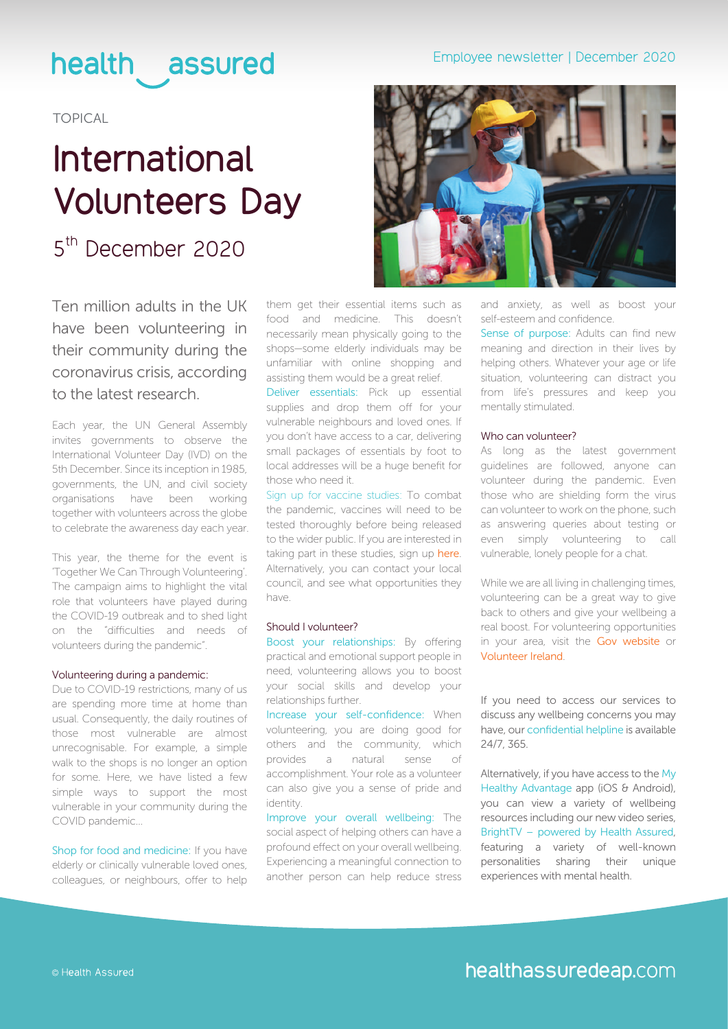### health assured

TOPICAL

# **International Volunteers Day**

### 5<sup>th</sup> December 2020

Ten million adults in the UK have been volunteering in their community during the coronavirus crisis, according to the latest research.

Each year, the UN General Assembly invites governments to observe the International Volunteer Day (IVD) on the 5th December. Since its inception in 1985, governments, the UN, and civil society organisations have been working together with volunteers across the globe to celebrate the awareness day each year.

This year, the theme for the event is 'Together We Can Through Volunteering'. The campaign aims to highlight the vital role that volunteers have played during the COVID-19 outbreak and to shed light on the "difficulties and needs of volunteers during the pandemic".

#### Volunteering during a pandemic:

Due to COVID-19 restrictions, many of us are spending more time at home than usual. Consequently, the daily routines of those most vulnerable are almost unrecognisable. For example, a simple walk to the shops is no longer an option for some. Here, we have listed a few simple ways to support the most vulnerable in your community during the COVID pandemic...

Shop for food and medicine: If you have elderly or clinically vulnerable loved ones, colleagues, or neighbours, offer to help them get their essential items such as food and medicine. This doesn't necessarily mean physically going to the shops—some elderly individuals may be unfamiliar with online shopping and assisting them would be a great relief.

Deliver essentials: Pick up essential supplies and drop them off for your vulnerable neighbours and loved ones. If you don't have access to a car, delivering small packages of essentials by foot to local addresses will be a huge benefit for those who need it.

Sign up for vaccine studies: To combat the pandemic, vaccines will need to be tested thoroughly before being released to the wider public. If you are interested in taking part in these studies, sign up [here](https://www.nhs.uk/sign-up-to-be-contacted-for-research). Alternatively, you can contact your local council, and see what opportunities they have.

#### Should I volunteer?

Boost your relationships: By offering practical and emotional support people in need, volunteering allows you to boost your social skills and develop your relationships further.

Increase your self-confidence: When volunteering, you are doing good for others and the community, which provides a natural sense of accomplishment. Your role as a volunteer can also give you a sense of pride and identity.

Improve your overall wellbeing: The social aspect of helping others can have a profound effect on your overall wellbeing. Experiencing a meaningful connection to another person can help reduce stress





and anxiety, as well as boost your self-esteem and confidence.

Sense of purpose: Adults can find new meaning and direction in their lives by helping others. Whatever your age or life situation, volunteering can distract you from life's pressures and keep you mentally stimulated.

#### Who can volunteer?

As long as the latest government guidelines are followed, anyone can volunteer during the pandemic. Even those who are shielding form the virus can volunteer to work on the phone, such as answering queries about testing or even simply volunteering to call vulnerable, lonely people for a chat.

While we are all living in challenging times. volunteering can be a great way to give back to others and give your wellbeing a real boost. For volunteering opportunities in your area, visit the [Gov website](https://www.gov.uk/coronavirus-volunteer-local) or [Volunteer Ireland](https://www.volunteer.ie/volunteers/find-a-volunteer-role/).

If you need to access our services to discuss any wellbeing concerns you may have, our confidential helpline is available 24/7, 365.

Alternatively, if you have access to the My Healthy Advantage app (iOS & Android), you can view a variety of wellbeing resources including our new video series, BrightTV – powered by Health Assured, featuring a variety of well-known personalities sharing their unique experiences with mental health.